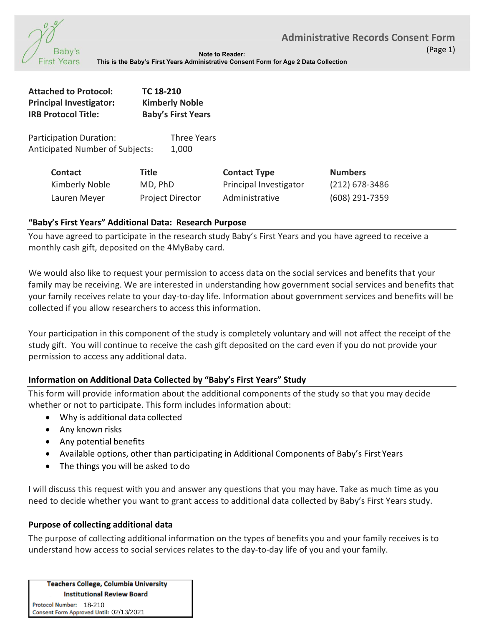

**Note to Reader: This is the Baby's First Years Administrative Consent Form for Age 2 Data Collection** 

| <b>Attached to Protocol:</b><br><b>Principal Investigator:</b><br><b>IRB Protocol Title:</b> | TC 18-210<br><b>Kimberly Noble</b><br><b>Baby's First Years</b> |                                               |                                  |
|----------------------------------------------------------------------------------------------|-----------------------------------------------------------------|-----------------------------------------------|----------------------------------|
| Participation Duration:<br><b>Anticipated Number of Subjects:</b>                            | <b>Three Years</b><br>1,000                                     |                                               |                                  |
| <b>Contact</b><br>Kimberly Noble                                                             | <b>Title</b><br>MD, PhD                                         | <b>Contact Type</b><br>Principal Investigator | <b>Numbers</b><br>(212) 678-3486 |

### **"Baby's First Years" Additional Data: Research Purpose**

You have agreed to participate in the research study Baby's First Years and you have agreed to receive a monthly cash gift, deposited on the 4MyBaby card.

Lauren Meyer Project Director Administrative (608) 291-7359

We would also like to request your permission to access data on the social services and benefits that your family may be receiving. We are interested in understanding how government social services and benefits that your family receives relate to your day-to-day life. Information about government services and benefits will be collected if you allow researchers to access this information.

Your participation in this component of the study is completely voluntary and will not affect the receipt of the study gift. You will continue to receive the cash gift deposited on the card even if you do not provide your permission to access any additional data.

# **Information on Additional Data Collected by "Baby's First Years" Study**

This form will provide information about the additional components of the study so that you may decide whether or not to participate. This form includes information about:

- Why is additional data collected
- Any known risks
- Any potential benefits
- Available options, other than participating in Additional Components of Baby's First Years
- The things you will be asked to do

I will discuss this request with you and answer any questions that you may have. Take as much time as you need to decide whether you want to grant access to additional data collected by Baby's First Years study.

# **Purpose of collecting additional data**

The purpose of collecting additional information on the types of benefits you and your family receives is to understand how access to social services relates to the day-to-day life of you and your family.

**Teachers College, Columbia University Institutional Review Board** 

Protocol Number: 18-210 Consent Form Approved Until: 02/13/2021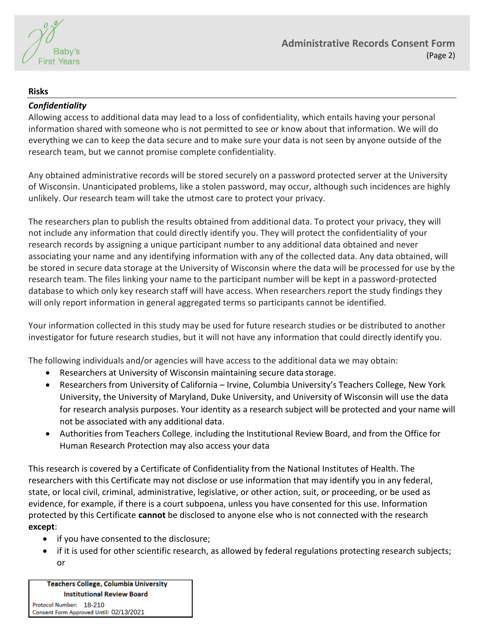

### **Risks**

# *Confidentiality*

Allowing access to additional data may lead to a loss of confidentiality, which entails having your personal information shared with someone who is not permitted to see or know about that information. We will do everything we can to keep the data secure and to make sure your data is not seen by anyone outside of the research team, but we cannot promise complete confidentiality.

Any obtained administrative records will be stored securely on a password protected server at the University of Wisconsin. Unanticipated problems, like a stolen password, may occur, although such incidences are highly unlikely. Our research team will take the utmost care to protect your privacy.

The researchers plan to publish the results obtained from additional data. To protect your privacy, they will not include any information that could directly identify you. They will protect the confidentiality of your research records by assigning a unique participant number to any additional data obtained and never associating your name and any identifying information with any of the collected data. Any data obtained, will be stored in secure data storage at the University of Wisconsin where the data will be processed for use by the research team. The files linking your name to the participant number will be kept in a password-protected database to which only key research staff will have access. When researchers report the study findings they will only report information in general aggregated terms so participants cannot be identified.

Your information collected in this study may be used for future research studies or be distributed to another investigator for future research studies, but it will not have any information that could directly identify you.

The following individuals and/or agencies will have access to the additional data we may obtain:

- Researchers at University of Wisconsin maintaining secure data storage.
- Researchers from University of California Irvine, Columbia University's Teachers College, New York University, the University of Maryland, Duke University, and University of Wisconsin will use the data for research analysis purposes. Your identity as a research subject will be protected and your name will not be associated with any additional data.
- Authorities from Teachers College, including the Institutional Review Board, and from the Office for Human Research Protection may also access your data

This research is covered by a Certificate of Confidentiality from the National Institutes of Health. The researchers with this Certificate may not disclose or use information that may identify you in any federal, state, or local civil, criminal, administrative, legislative, or other action, suit, or proceeding, or be used as evidence, for example, if there is a court subpoena, unless you have consented for this use. Information protected by this Certificate **cannot** be disclosed to anyone else who is not connected with the research **except**:

- if you have consented to the disclosure;
- if it is used for other scientific research, as allowed by federal regulations protecting research subjects; or

**Teachers College, Columbia University Institutional Review Board** Protocol Number: 18-210

Consent Form Approved Until: 02/13/2021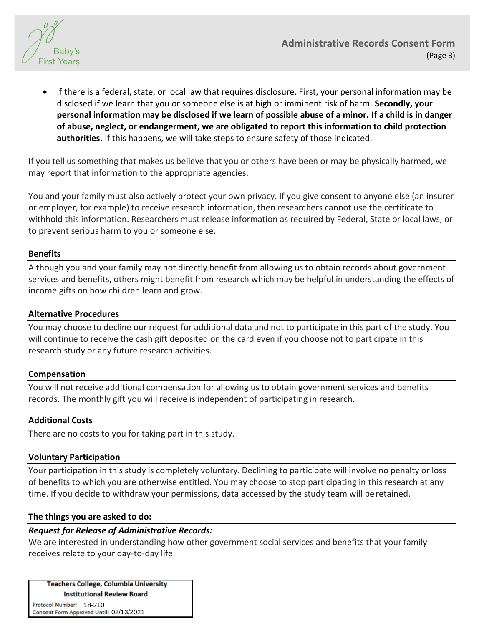

 if there is a federal, state, or local law that requires disclosure. First, your personal information may be disclosed if we learn that you or someone else is at high or imminent risk of harm. **Secondly, your personal information may be disclosed if we learn of possible abuse of a minor. If a child is in danger of abuse, neglect, or endangerment, we are obligated to report this information to child protection authorities.** If this happens, we will take steps to ensure safety of those indicated.

If you tell us something that makes us believe that you or others have been or may be physically harmed, we may report that information to the appropriate agencies.

You and your family must also actively protect your own privacy. If you give consent to anyone else (an insurer or employer, for example) to receive research information, then researchers cannot use the certificate to withhold this information. Researchers must release information as required by Federal, State or local laws, or to prevent serious harm to you or someone else.

### **Benefits**

Although you and your family may not directly benefit from allowing us to obtain records about government services and benefits, others might benefit from research which may be helpful in understanding the effects of income gifts on how children learn and grow.

### **Alternative Procedures**

You may choose to decline our request for additional data and not to participate in this part of the study. You will continue to receive the cash gift deposited on the card even if you choose not to participate in this research study or any future research activities.

#### **Compensation**

You will not receive additional compensation for allowing us to obtain government services and benefits records. The monthly gift you will receive is independent of participating in research.

#### **Additional Costs**

There are no costs to you for taking part in this study.

# **Voluntary Participation**

Your participation in this study is completely voluntary. Declining to participate will involve no penalty or loss of benefits to which you are otherwise entitled. You may choose to stop participating in this research at any time. If you decide to withdraw your permissions, data accessed by the study team will be retained.

#### **The things you are asked to do:**

# *Request for Release of Administrative Records:*

We are interested in understanding how other government social services and benefits that your family receives relate to your day-to-day life.

**Teachers College, Columbia University Institutional Review Board** 

Protocol Number: 18-210 Consent Form Approved Until: 02/13/2021